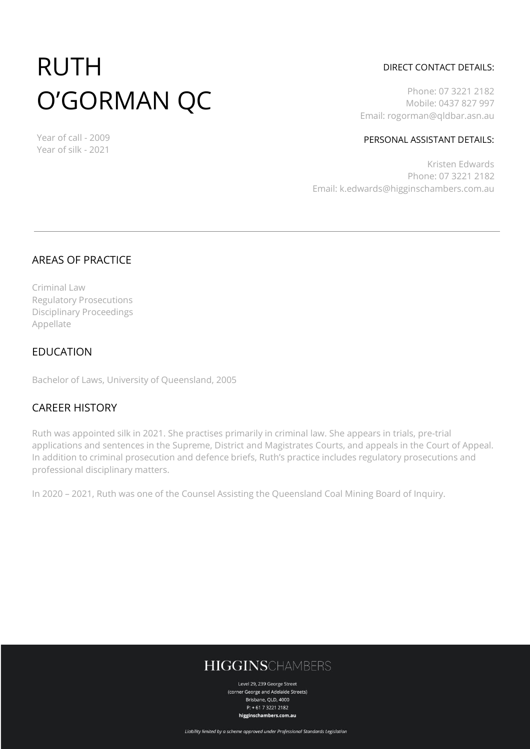# RUTH O'GORMAN QC

DIRECT CONTACT DETAILS:

Phone: 07 3221 2182 Mobile: 0437 827 997 Email: rogorman@qldbar.asn.au

#### PERSONAL ASSISTANT DETAILS:

Kristen Edwards Phone: 07 3221 2182 Email: k.edwards@higginschambers.com.au

#### AREAS OF PRACTICE

Year of call - 2009 Year of silk - 2021

Criminal Law Regulatory Prosecutions Disciplinary Proceedings Appellate

#### EDUCATION

Bachelor of Laws, University of Queensland, 2005

#### CAREER HISTORY

Ruth was appointed silk in 2021. She practises primarily in criminal law. She appears in trials, pre-trial applications and sentences in the Supreme, District and Magistrates Courts, and appeals in the Court of Appeal. In addition to criminal prosecution and defence briefs, Ruth's practice includes regulatory prosecutions and professional disciplinary matters.

In 2020 – 2021, Ruth was one of the Counsel Assisting the Queensland Coal Mining Board of Inquiry.

## **HIGGINSCHAMBERS**

Level 29, 239 George Street (corner George and Adelaide Streets) Brisbane, QLD, 4000  $P: +61732212182$ higginschambers.com.au

Liability limited by a scheme approved under Professional Standards Legislation